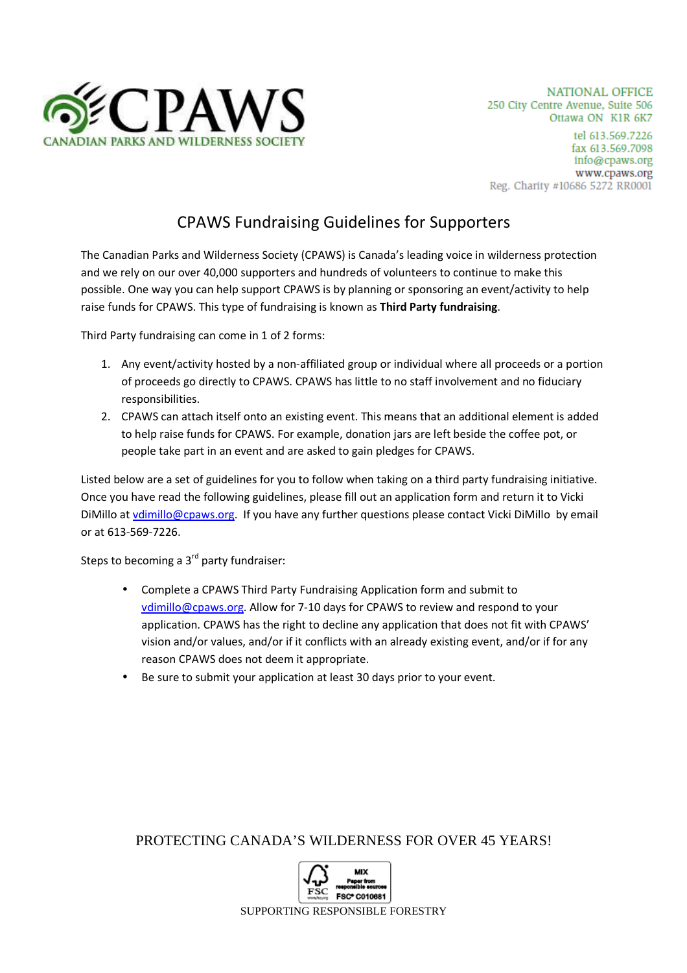

# CPAWS Fundraising Guidelines for Supporters

The Canadian Parks and Wilderness Society (CPAWS) is Canada's leading voice in wilderness protection and we rely on our over 40,000 supporters and hundreds of volunteers to continue to make this possible. One way you can help support CPAWS is by planning or sponsoring an event/activity to help raise funds for CPAWS. This type of fundraising is known as **Third Party fundraising**.

Third Party fundraising can come in 1 of 2 forms:

- 1. Any event/activity hosted by a non-affiliated group or individual where all proceeds or a portion of proceeds go directly to CPAWS. CPAWS has little to no staff involvement and no fiduciary responsibilities.
- 2. CPAWS can attach itself onto an existing event. This means that an additional element is added to help raise funds for CPAWS. For example, donation jars are left beside the coffee pot, or people take part in an event and are asked to gain pledges for CPAWS.

Listed below are a set of guidelines for you to follow when taking on a third party fundraising initiative. Once you have read the following guidelines, please fill out an application form and return it to Vicki DiMillo at vdimillo@cpaws.org. If you have any further questions please contact Vicki DiMillo by email or at 613-569-7226.

Steps to becoming a  $3<sup>rd</sup>$  party fundraiser:

- Complete a CPAWS Third Party Fundraising Application form and submit to vdimillo@cpaws.org. Allow for 7-10 days for CPAWS to review and respond to your application. CPAWS has the right to decline any application that does not fit with CPAWS' vision and/or values, and/or if it conflicts with an already existing event, and/or if for any reason CPAWS does not deem it appropriate.
- Be sure to submit your application at least 30 days prior to your event.

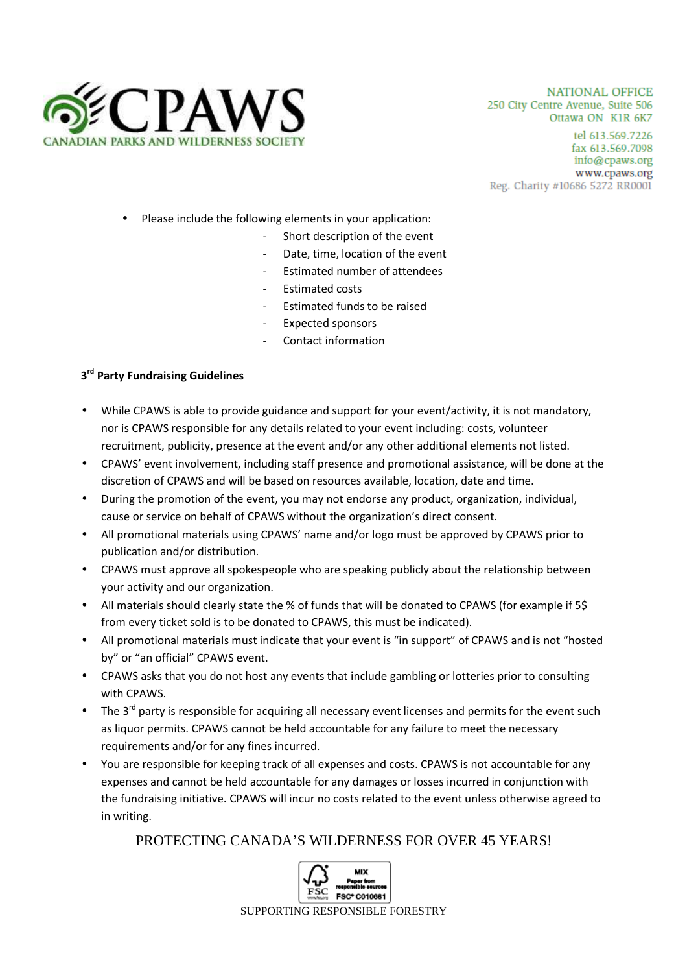

- Please include the following elements in your application:
	- Short description of the event
	- Date, time, location of the event
	- Estimated number of attendees
	- Estimated costs
	- Estimated funds to be raised
	- Expected sponsors
	- Contact information

### **3 rd Party Fundraising Guidelines**

- While CPAWS is able to provide guidance and support for your event/activity, it is not mandatory, nor is CPAWS responsible for any details related to your event including: costs, volunteer recruitment, publicity, presence at the event and/or any other additional elements not listed.
- CPAWS' event involvement, including staff presence and promotional assistance, will be done at the discretion of CPAWS and will be based on resources available, location, date and time.
- During the promotion of the event, you may not endorse any product, organization, individual, cause or service on behalf of CPAWS without the organization's direct consent.
- All promotional materials using CPAWS' name and/or logo must be approved by CPAWS prior to publication and/or distribution.
- CPAWS must approve all spokespeople who are speaking publicly about the relationship between your activity and our organization.
- All materials should clearly state the % of funds that will be donated to CPAWS (for example if 5\$ from every ticket sold is to be donated to CPAWS, this must be indicated).
- All promotional materials must indicate that your event is "in support" of CPAWS and is not "hosted by" or "an official" CPAWS event.
- CPAWS asks that you do not host any events that include gambling or lotteries prior to consulting with CPAWS.
- The  $3<sup>rd</sup>$  party is responsible for acquiring all necessary event licenses and permits for the event such as liquor permits. CPAWS cannot be held accountable for any failure to meet the necessary requirements and/or for any fines incurred.
- You are responsible for keeping track of all expenses and costs. CPAWS is not accountable for any expenses and cannot be held accountable for any damages or losses incurred in conjunction with the fundraising initiative. CPAWS will incur no costs related to the event unless otherwise agreed to in writing.

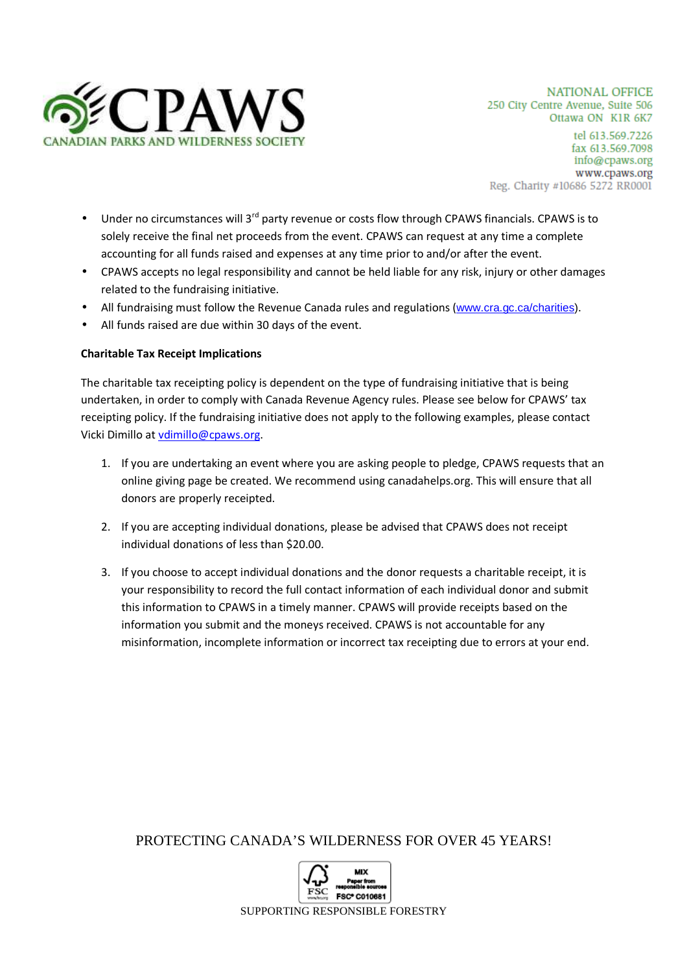

**NATIONAL OFFICE** 250 City Centre Avenue, Suite 506 Ottawa ON K1R 6K7

tel 613.569.7226 fax 613.569.7098 info@cpaws.org www.cpaws.org Reg. Charity #10686 5272 RR0001

- Under no circumstances will 3<sup>rd</sup> party revenue or costs flow through CPAWS financials. CPAWS is to solely receive the final net proceeds from the event. CPAWS can request at any time a complete accounting for all funds raised and expenses at any time prior to and/or after the event.
- CPAWS accepts no legal responsibility and cannot be held liable for any risk, injury or other damages related to the fundraising initiative.
- All fundraising must follow the Revenue Canada rules and regulations (www.cra.gc.ca/charities).
- All funds raised are due within 30 days of the event.

#### **Charitable Tax Receipt Implications**

The charitable tax receipting policy is dependent on the type of fundraising initiative that is being undertaken, in order to comply with Canada Revenue Agency rules. Please see below for CPAWS' tax receipting policy. If the fundraising initiative does not apply to the following examples, please contact Vicki Dimillo at vdimillo@cpaws.org.

- 1. If you are undertaking an event where you are asking people to pledge, CPAWS requests that an online giving page be created. We recommend using canadahelps.org. This will ensure that all donors are properly receipted.
- 2. If you are accepting individual donations, please be advised that CPAWS does not receipt individual donations of less than \$20.00.
- 3. If you choose to accept individual donations and the donor requests a charitable receipt, it is your responsibility to record the full contact information of each individual donor and submit this information to CPAWS in a timely manner. CPAWS will provide receipts based on the information you submit and the moneys received. CPAWS is not accountable for any misinformation, incomplete information or incorrect tax receipting due to errors at your end.

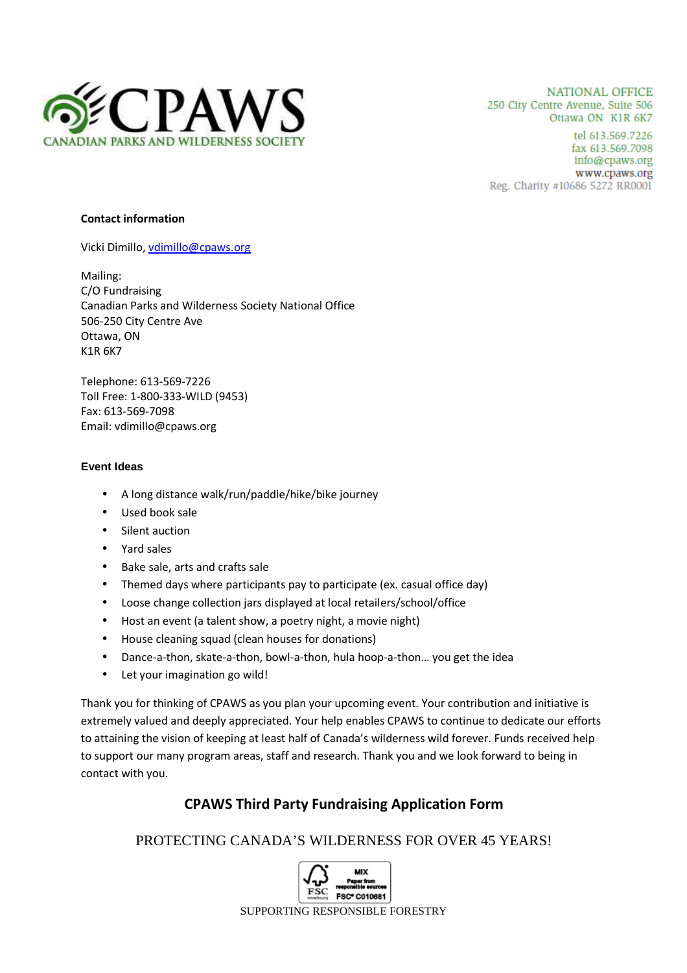

**NATIONAL OFFICE** 250 City Centre Avenue, Suite 506 Ottawa ON K1R 6K7

tel 613.569.7226 fax 613.569.7098 info@cpaws.org www.cpaws.org Reg. Charity #10686 5272 RR0001

#### **Contact information**

Vicki Dimillo, vdimillo@cpaws.org

Mailing: C/O Fundraising Canadian Parks and Wilderness Society National Office 506-250 City Centre Ave Ottawa, ON K1R 6K7

Telephone: 613-569-7226 Toll Free: 1-800-333-WILD (9453) Fax: 613-569-7098 Email: vdimillo@cpaws.org

#### **Event Ideas**

- A long distance walk/run/paddle/hike/bike journey
- Used book sale
- Silent auction
- Yard sales
- Bake sale, arts and crafts sale
- Themed days where participants pay to participate (ex. casual office day)
- Loose change collection jars displayed at local retailers/school/office
- Host an event (a talent show, a poetry night, a movie night)
- House cleaning squad (clean houses for donations)
- Dance-a-thon, skate-a-thon, bowl-a-thon, hula hoop-a-thon… you get the idea
- Let your imagination go wild!

Thank you for thinking of CPAWS as you plan your upcoming event. Your contribution and initiative is extremely valued and deeply appreciated. Your help enables CPAWS to continue to dedicate our efforts to attaining the vision of keeping at least half of Canada's wilderness wild forever. Funds received help to support our many program areas, staff and research. Thank you and we look forward to being in contact with you.

## **CPAWS Third Party Fundraising Application Form**

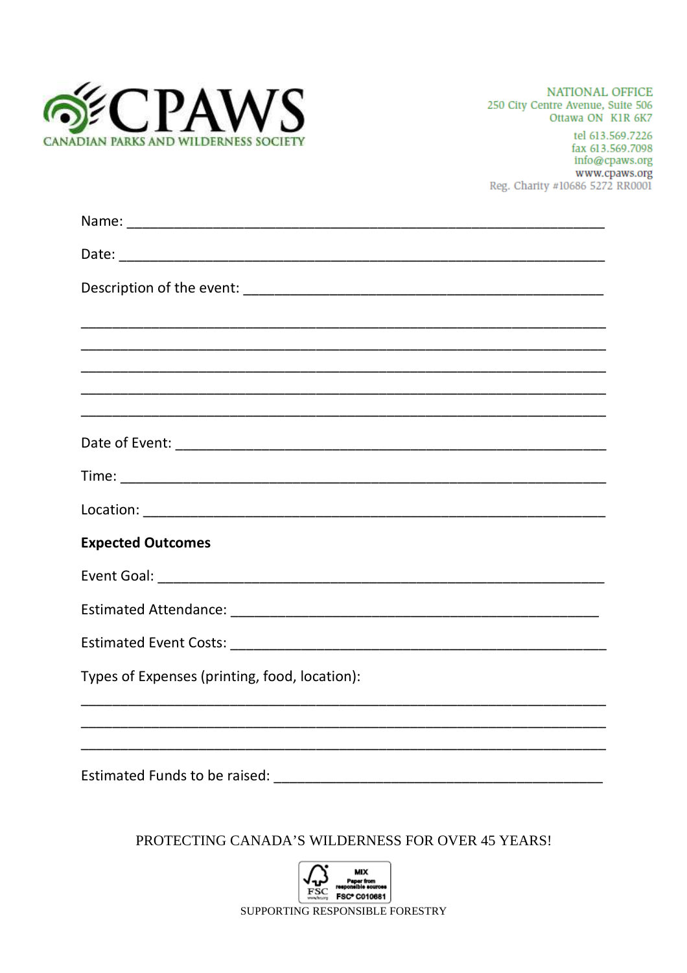

NATIONAL OFFICE 250 City Centre Avenue, Suite 506 Ottawa ON KIR 6K7

tel 613.569.7226 fax 613.569.7098 info@cpaws.org www.cpaws.org Reg. Charity #10686 5272 RR0001

| <b>Expected Outcomes</b>                      |
|-----------------------------------------------|
|                                               |
|                                               |
|                                               |
| Types of Expenses (printing, food, location): |
|                                               |
| Estimated Funds to be raised:                 |

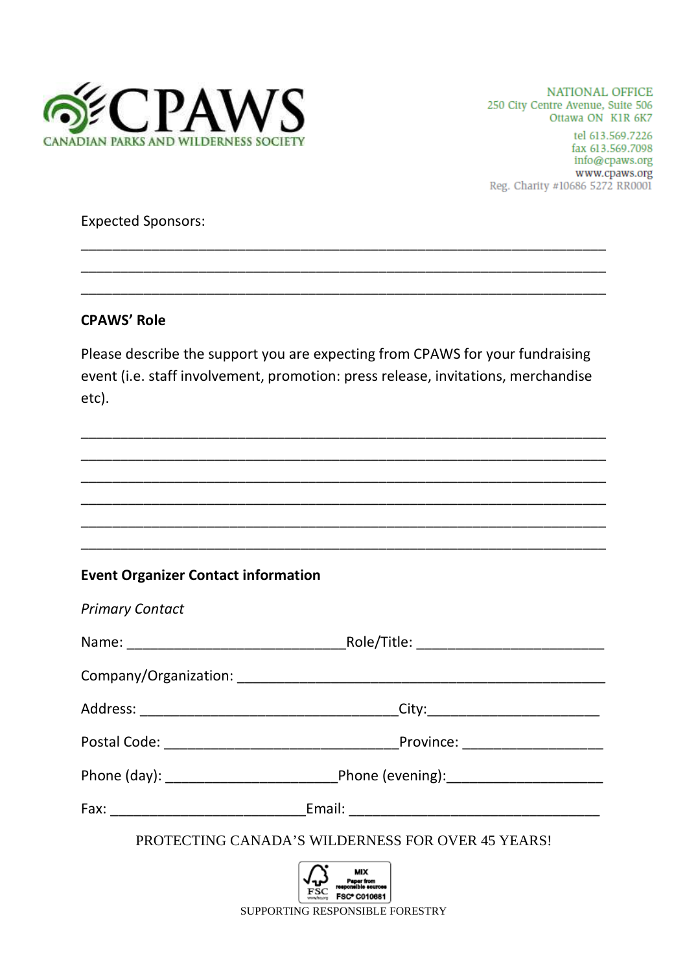

NATIONAL OFFICE 250 City Centre Avenue, Suite 506 Ottawa ON KIR 6K7

tel 613.569.7226 fax 613.569.7098 info@cpaws.org www.cpaws.org Reg. Charity #10686 5272 RR0001

### **Expected Sponsors:**

### **CPAWS' Role**

Please describe the support you are expecting from CPAWS for your fundraising event (i.e. staff involvement, promotion: press release, invitations, merchandise etc).

## **Event Organizer Contact information**

| <b>Primary Contact</b>                                                                                                                                                                                                        |  |  |  |
|-------------------------------------------------------------------------------------------------------------------------------------------------------------------------------------------------------------------------------|--|--|--|
|                                                                                                                                                                                                                               |  |  |  |
|                                                                                                                                                                                                                               |  |  |  |
|                                                                                                                                                                                                                               |  |  |  |
|                                                                                                                                                                                                                               |  |  |  |
|                                                                                                                                                                                                                               |  |  |  |
| Fax: Email: Email: Email: Email: Email: Email: Email: Email: Email: Email: Email: Email: Email: Email: Email: Email: Email: Email: Email: Email: Email: Email: Email: Email: Email: Email: Email: Email: Email: Email: Email: |  |  |  |
| PROTECTING CANADA'S WILDERNESS FOR OVER 45 YEARS!                                                                                                                                                                             |  |  |  |
| Paper from<br>  eponsible sources<br>FSC* C010681<br>SUPPORTING RESPONSIBLE FORESTRY                                                                                                                                          |  |  |  |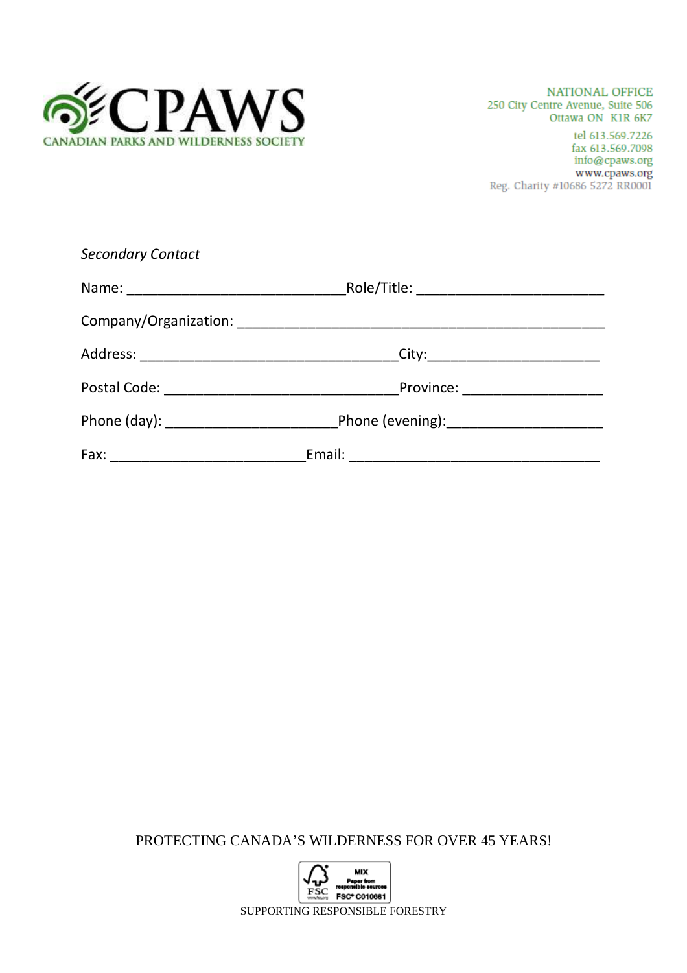

| <b>Secondary Contact</b> |  |
|--------------------------|--|
|                          |  |
|                          |  |
|                          |  |
|                          |  |
|                          |  |
|                          |  |

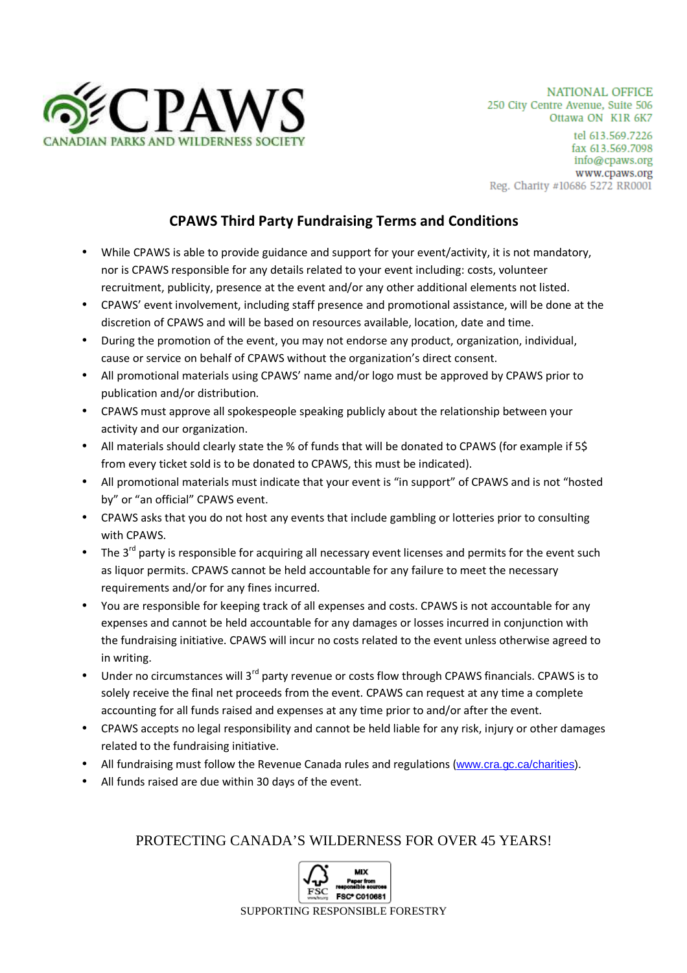

# **CPAWS Third Party Fundraising Terms and Conditions**

- While CPAWS is able to provide guidance and support for your event/activity, it is not mandatory, nor is CPAWS responsible for any details related to your event including: costs, volunteer recruitment, publicity, presence at the event and/or any other additional elements not listed.
- CPAWS' event involvement, including staff presence and promotional assistance, will be done at the discretion of CPAWS and will be based on resources available, location, date and time.
- During the promotion of the event, you may not endorse any product, organization, individual, cause or service on behalf of CPAWS without the organization's direct consent.
- All promotional materials using CPAWS' name and/or logo must be approved by CPAWS prior to publication and/or distribution.
- CPAWS must approve all spokespeople speaking publicly about the relationship between your activity and our organization.
- All materials should clearly state the % of funds that will be donated to CPAWS (for example if 5\$ from every ticket sold is to be donated to CPAWS, this must be indicated).
- All promotional materials must indicate that your event is "in support" of CPAWS and is not "hosted by" or "an official" CPAWS event.
- CPAWS asks that you do not host any events that include gambling or lotteries prior to consulting with CPAWS.
- The  $3^{rd}$  party is responsible for acquiring all necessary event licenses and permits for the event such as liquor permits. CPAWS cannot be held accountable for any failure to meet the necessary requirements and/or for any fines incurred.
- You are responsible for keeping track of all expenses and costs. CPAWS is not accountable for any expenses and cannot be held accountable for any damages or losses incurred in conjunction with the fundraising initiative. CPAWS will incur no costs related to the event unless otherwise agreed to in writing.
- Under no circumstances will 3<sup>rd</sup> party revenue or costs flow through CPAWS financials. CPAWS is to solely receive the final net proceeds from the event. CPAWS can request at any time a complete accounting for all funds raised and expenses at any time prior to and/or after the event.
- CPAWS accepts no legal responsibility and cannot be held liable for any risk, injury or other damages related to the fundraising initiative.
- All fundraising must follow the Revenue Canada rules and regulations (www.cra.gc.ca/charities).
- All funds raised are due within 30 days of the event.